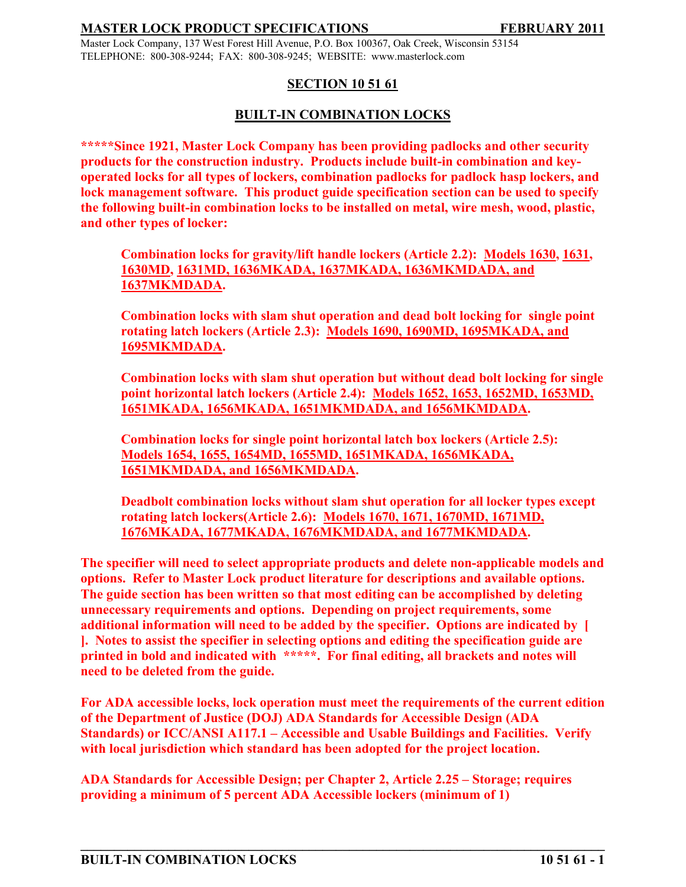Master Lock Company, 137 West Forest Hill Avenue, P.O. Box 100367, Oak Creek, Wisconsin 53154 TELEPHONE: 800-308-9244; FAX: 800-308-9245; WEBSITE: www.masterlock.com

# **SECTION 10 51 61**

# **BUILT-IN COMBINATION LOCKS**

**\*\*\*\*\*Since 1921, Master Lock Company has been providing padlocks and other security products for the construction industry. Products include built-in combination and keyoperated locks for all types of lockers, combination padlocks for padlock hasp lockers, and lock management software. This product guide specification section can be used to specify the following built-in combination locks to be installed on metal, wire mesh, wood, plastic, and other types of locker:**

**Combination locks for gravity/lift handle lockers (Article 2.2): Models 1630, 1631, 1630MD, 1631MD, 1636MKADA, 1637MKADA, 1636MKMDADA, and 1637MKMDADA.**

**Combination locks with slam shut operation and dead bolt locking for single point rotating latch lockers (Article 2.3): Models 1690, 1690MD, 1695MKADA, and 1695MKMDADA.**

**Combination locks with slam shut operation but without dead bolt locking for single point horizontal latch lockers (Article 2.4): Models 1652, 1653, 1652MD, 1653MD, 1651MKADA, 1656MKADA, 1651MKMDADA, and 1656MKMDADA.**

**Combination locks for single point horizontal latch box lockers (Article 2.5): Models 1654, 1655, 1654MD, 1655MD, 1651MKADA, 1656MKADA, 1651MKMDADA, and 1656MKMDADA.**

**Deadbolt combination locks without slam shut operation for all locker types except rotating latch lockers(Article 2.6): Models 1670, 1671, 1670MD, 1671MD, 1676MKADA, 1677MKADA, 1676MKMDADA, and 1677MKMDADA.**

**The specifier will need to select appropriate products and delete non-applicable models and options. Refer to Master Lock product literature for descriptions and available options. The guide section has been written so that most editing can be accomplished by deleting unnecessary requirements and options. Depending on project requirements, some additional information will need to be added by the specifier. Options are indicated by [ ]. Notes to assist the specifier in selecting options and editing the specification guide are printed in bold and indicated with \*\*\*\*\*. For final editing, all brackets and notes will need to be deleted from the guide.** 

**For ADA accessible locks, lock operation must meet the requirements of the current edition of the Department of Justice (DOJ) ADA Standards for Accessible Design (ADA Standards) or ICC/ANSI A117.1 – Accessible and Usable Buildings and Facilities. Verify with local jurisdiction which standard has been adopted for the project location.**

**\_\_\_\_\_\_\_\_\_\_\_\_\_\_\_\_\_\_\_\_\_\_\_\_\_\_\_\_\_\_\_\_\_\_\_\_\_\_\_\_\_\_\_\_\_\_\_\_\_\_\_\_\_\_\_\_\_\_\_\_\_\_\_\_\_\_\_\_\_\_\_\_\_\_\_\_\_\_**

**ADA Standards for Accessible Design; per Chapter 2, Article 2.25 – Storage; requires providing a minimum of 5 percent ADA Accessible lockers (minimum of 1)**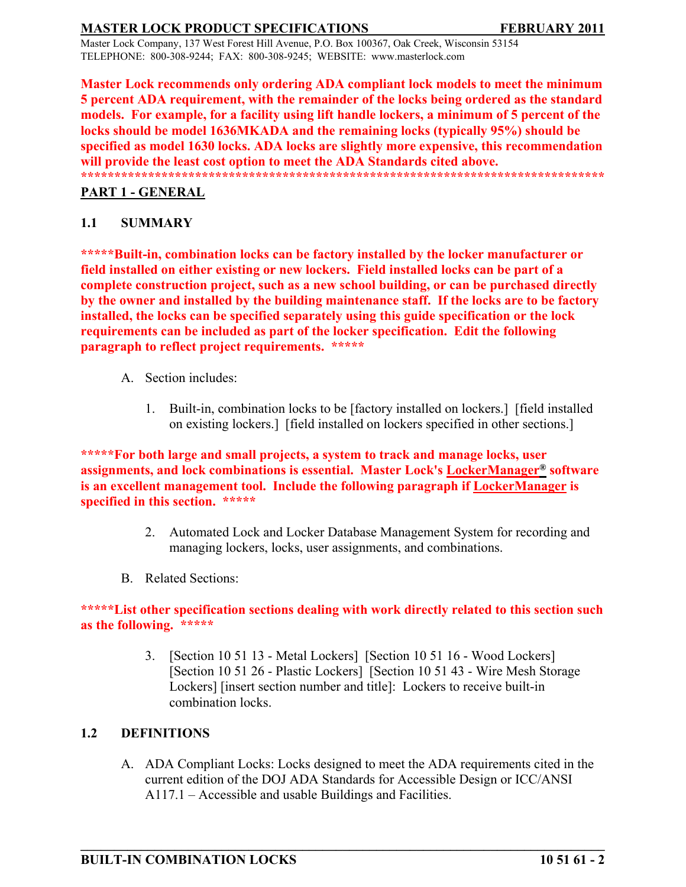Master Lock Company, 137 West Forest Hill Avenue, P.O. Box 100367, Oak Creek, Wisconsin 53154 TELEPHONE: 800-308-9244; FAX: 800-308-9245; WEBSITE: www.masterlock.com

**Master Lock recommends only ordering ADA compliant lock models to meet the minimum 5 percent ADA requirement, with the remainder of the locks being ordered as the standard models. For example, for a facility using lift handle lockers, a minimum of 5 percent of the locks should be model 1636MKADA and the remaining locks (typically 95%) should be specified as model 1630 locks. ADA locks are slightly more expensive, this recommendation will provide the least cost option to meet the ADA Standards cited above. \*\*\*\*\*\*\*\*\*\*\*\*\*\*\*\*\*\*\*\*\*\*\*\*\*\*\*\*\*\*\*\*\*\*\*\*\*\*\*\*\*\*\*\*\*\*\*\*\*\*\*\*\*\*\*\*\*\*\*\*\*\*\*\*\*\*\*\*\*\*\*\*\*\*\*\*\*\***

# **PART 1 - GENERAL**

# **1.1 SUMMARY**

**\*\*\*\*\*Built-in, combination locks can be factory installed by the locker manufacturer or field installed on either existing or new lockers. Field installed locks can be part of a complete construction project, such as a new school building, or can be purchased directly by the owner and installed by the building maintenance staff. If the locks are to be factory installed, the locks can be specified separately using this guide specification or the lock requirements can be included as part of the locker specification. Edit the following paragraph to reflect project requirements. \*\*\*\*\***

- A. Section includes:
	- 1. Built-in, combination locks to be [factory installed on lockers.] [field installed on existing lockers.] [field installed on lockers specified in other sections.]

**\*\*\*\*\*For both large and small projects, a system to track and manage locks, user assignments, and lock combinations is essential. Master Lock's LockerManager® software is an excellent management tool. Include the following paragraph if LockerManager is specified in this section. \*\*\*\*\***

- 2. Automated Lock and Locker Database Management System for recording and managing lockers, locks, user assignments, and combinations.
- B. Related Sections:

### **\*\*\*\*\*List other specification sections dealing with work directly related to this section such as the following. \*\*\*\*\***

3. [Section 10 51 13 - Metal Lockers] [Section 10 51 16 - Wood Lockers] [Section 10 51 26 - Plastic Lockers] [Section 10 51 43 - Wire Mesh Storage Lockers] [insert section number and title]: Lockers to receive built-in combination locks.

# **1.2 DEFINITIONS**

A. ADA Compliant Locks: Locks designed to meet the ADA requirements cited in the current edition of the DOJ ADA Standards for Accessible Design or ICC/ANSI A117.1 – Accessible and usable Buildings and Facilities.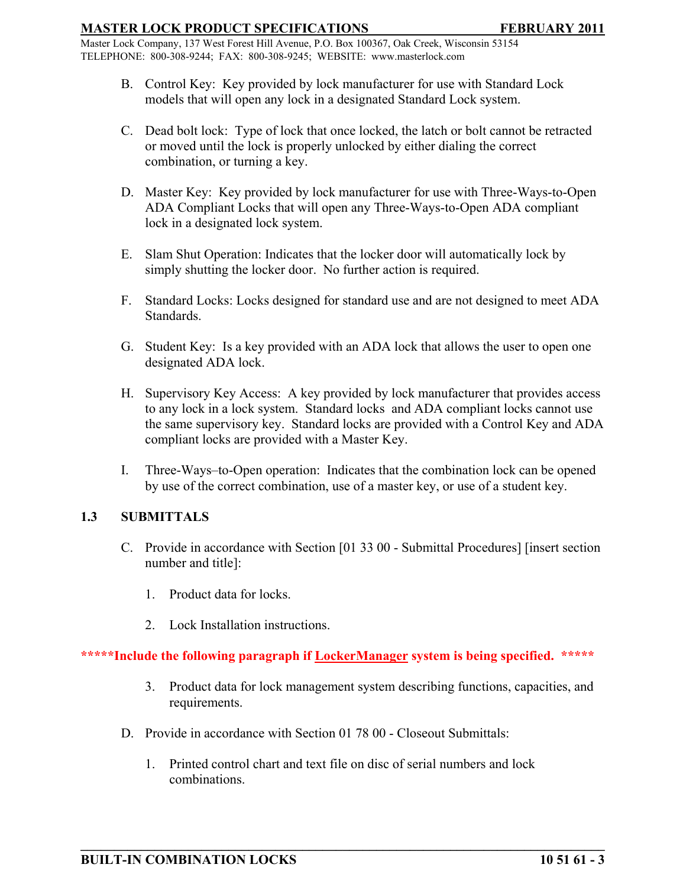Master Lock Company, 137 West Forest Hill Avenue, P.O. Box 100367, Oak Creek, Wisconsin 53154 TELEPHONE: 800-308-9244; FAX: 800-308-9245; WEBSITE: www.masterlock.com

- B. Control Key: Key provided by lock manufacturer for use with Standard Lock models that will open any lock in a designated Standard Lock system.
- C. Dead bolt lock: Type of lock that once locked, the latch or bolt cannot be retracted or moved until the lock is properly unlocked by either dialing the correct combination, or turning a key.
- D. Master Key: Key provided by lock manufacturer for use with Three-Ways-to-Open ADA Compliant Locks that will open any Three-Ways-to-Open ADA compliant lock in a designated lock system.
- E. Slam Shut Operation: Indicates that the locker door will automatically lock by simply shutting the locker door. No further action is required.
- F. Standard Locks: Locks designed for standard use and are not designed to meet ADA Standards.
- G. Student Key: Is a key provided with an ADA lock that allows the user to open one designated ADA lock.
- H. Supervisory Key Access: A key provided by lock manufacturer that provides access to any lock in a lock system. Standard locks and ADA compliant locks cannot use the same supervisory key. Standard locks are provided with a Control Key and ADA compliant locks are provided with a Master Key.
- I. Three-Ways–to-Open operation: Indicates that the combination lock can be opened by use of the correct combination, use of a master key, or use of a student key.

# **1.3 SUBMITTALS**

- C. Provide in accordance with Section [01 33 00 Submittal Procedures] [insert section number and title]:
	- 1. Product data for locks.
	- 2. Lock Installation instructions.

### **\*\*\*\*\*Include the following paragraph if LockerManager system is being specified. \*\*\*\*\***

- 3. Product data for lock management system describing functions, capacities, and requirements.
- D. Provide in accordance with Section 01 78 00 Closeout Submittals:
	- 1. Printed control chart and text file on disc of serial numbers and lock combinations.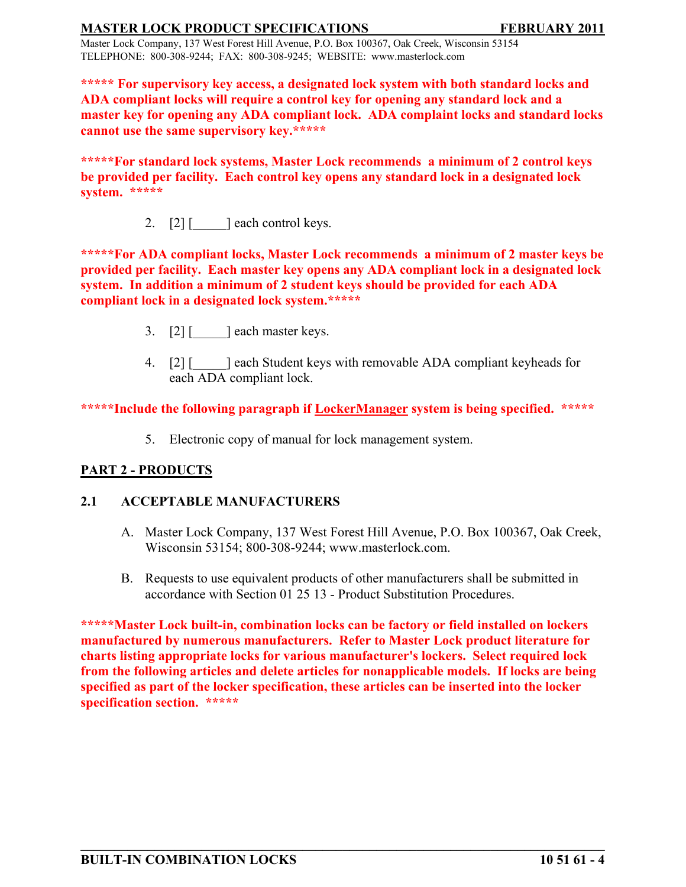Master Lock Company, 137 West Forest Hill Avenue, P.O. Box 100367, Oak Creek, Wisconsin 53154 TELEPHONE: 800-308-9244; FAX: 800-308-9245; WEBSITE: www.masterlock.com

**\*\*\*\*\* For supervisory key access, a designated lock system with both standard locks and ADA compliant locks will require a control key for opening any standard lock and a master key for opening any ADA compliant lock. ADA complaint locks and standard locks cannot use the same supervisory key.\*\*\*\*\***

**\*\*\*\*\*For standard lock systems, Master Lock recommends a minimum of 2 control keys be provided per facility. Each control key opens any standard lock in a designated lock system. \*\*\*\*\***

2.  $[2]$  [  $\qquad$  ] each control keys.

**\*\*\*\*\*For ADA compliant locks, Master Lock recommends a minimum of 2 master keys be provided per facility. Each master key opens any ADA compliant lock in a designated lock system. In addition a minimum of 2 student keys should be provided for each ADA compliant lock in a designated lock system.\*\*\*\*\***

- 3. [2] [ ] each master keys.
- 4. [2] [  $\blacksquare$  ] each Student keys with removable ADA compliant keyheads for each ADA compliant lock.

**\*\*\*\*\*Include the following paragraph if LockerManager system is being specified. \*\*\*\*\***

5. Electronic copy of manual for lock management system.

# **PART 2 - PRODUCTS**

# **2.1 ACCEPTABLE MANUFACTURERS**

- A. Master Lock Company, 137 West Forest Hill Avenue, P.O. Box 100367, Oak Creek, Wisconsin 53154; 800-308-9244; www.masterlock.com.
- B. Requests to use equivalent products of other manufacturers shall be submitted in accordance with Section 01 25 13 - Product Substitution Procedures.

**\*\*\*\*\*Master Lock built-in, combination locks can be factory or field installed on lockers manufactured by numerous manufacturers. Refer to Master Lock product literature for charts listing appropriate locks for various manufacturer's lockers. Select required lock from the following articles and delete articles for nonapplicable models. If locks are being specified as part of the locker specification, these articles can be inserted into the locker specification section. \*\*\*\*\***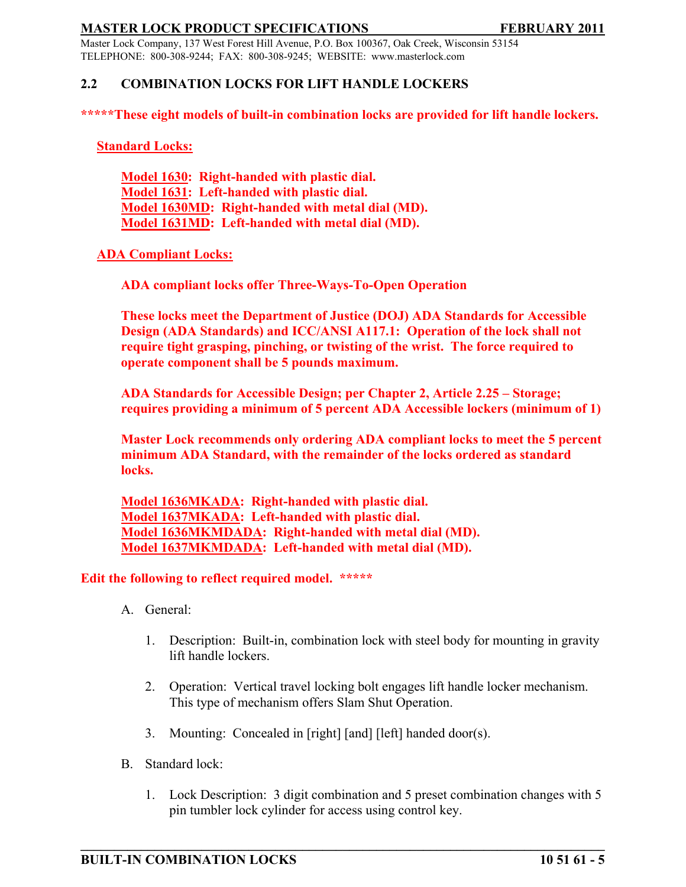Master Lock Company, 137 West Forest Hill Avenue, P.O. Box 100367, Oak Creek, Wisconsin 53154 TELEPHONE: 800-308-9244; FAX: 800-308-9245; WEBSITE: www.masterlock.com

# **2.2 COMBINATION LOCKS FOR LIFT HANDLE LOCKERS**

**\*\*\*\*\*These eight models of built-in combination locks are provided for lift handle lockers.**

**Standard Locks:**

**Model 1630: Right-handed with plastic dial. Model 1631: Left-handed with plastic dial. Model 1630MD: Right-handed with metal dial (MD). Model 1631MD: Left-handed with metal dial (MD).**

### **ADA Compliant Locks:**

**ADA compliant locks offer Three-Ways-To-Open Operation**

**These locks meet the Department of Justice (DOJ) ADA Standards for Accessible Design (ADA Standards) and ICC/ANSI A117.1: Operation of the lock shall not require tight grasping, pinching, or twisting of the wrist. The force required to operate component shall be 5 pounds maximum.** 

**ADA Standards for Accessible Design; per Chapter 2, Article 2.25 – Storage; requires providing a minimum of 5 percent ADA Accessible lockers (minimum of 1)**

**Master Lock recommends only ordering ADA compliant locks to meet the 5 percent minimum ADA Standard, with the remainder of the locks ordered as standard locks.**

**Model 1636MKADA: Right-handed with plastic dial. Model 1637MKADA: Left-handed with plastic dial. Model 1636MKMDADA: Right-handed with metal dial (MD). Model 1637MKMDADA: Left-handed with metal dial (MD).**

#### **Edit the following to reflect required model. \*\*\*\*\***

- A. General:
	- 1. Description: Built-in, combination lock with steel body for mounting in gravity lift handle lockers.
	- 2. Operation: Vertical travel locking bolt engages lift handle locker mechanism. This type of mechanism offers Slam Shut Operation.
	- 3. Mounting: Concealed in [right] [and] [left] handed door(s).
- B. Standard lock:
	- 1. Lock Description: 3 digit combination and 5 preset combination changes with 5 pin tumbler lock cylinder for access using control key.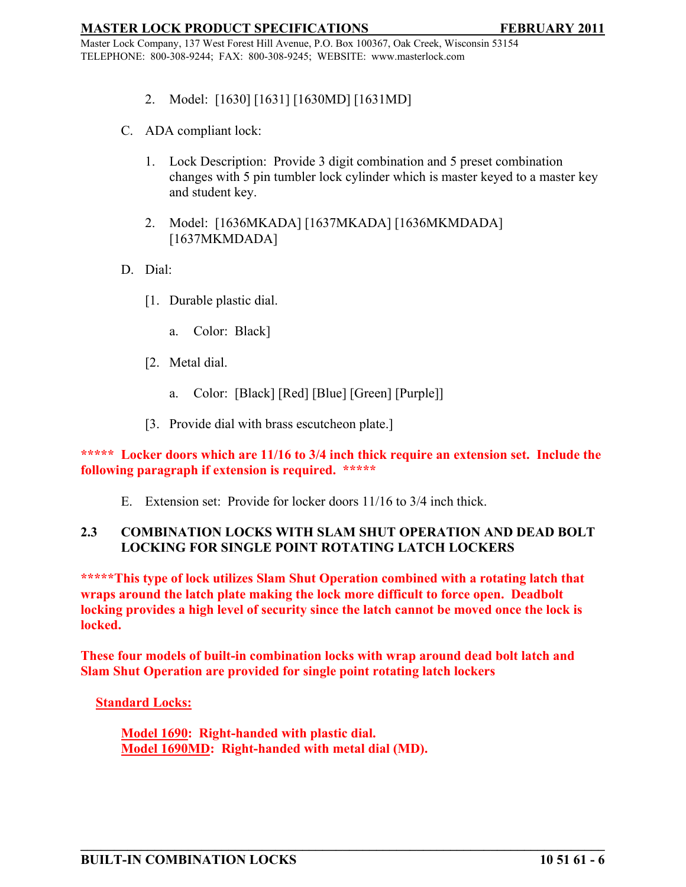Master Lock Company, 137 West Forest Hill Avenue, P.O. Box 100367, Oak Creek, Wisconsin 53154 TELEPHONE: 800-308-9244; FAX: 800-308-9245; WEBSITE: www.masterlock.com

- 2. Model: [1630] [1631] [1630MD] [1631MD]
- C. ADA compliant lock:
	- 1. Lock Description: Provide 3 digit combination and 5 preset combination changes with 5 pin tumbler lock cylinder which is master keyed to a master key and student key.
	- 2. Model: [1636MKADA] [1637MKADA] [1636MKMDADA] [1637MKMDADA]
- D. Dial:
	- [1. Durable plastic dial.
		- a. Color: Black]
	- [2. Metal dial.
		- a. Color: [Black] [Red] [Blue] [Green] [Purple]]
	- [3. Provide dial with brass escutcheon plate.]

**\*\*\*\*\* Locker doors which are 11/16 to 3/4 inch thick require an extension set. Include the following paragraph if extension is required. \*\*\*\*\***

E. Extension set: Provide for locker doors 11/16 to 3/4 inch thick.

# **2.3 COMBINATION LOCKS WITH SLAM SHUT OPERATION AND DEAD BOLT LOCKING FOR SINGLE POINT ROTATING LATCH LOCKERS**

**\*\*\*\*\*This type of lock utilizes Slam Shut Operation combined with a rotating latch that wraps around the latch plate making the lock more difficult to force open. Deadbolt locking provides a high level of security since the latch cannot be moved once the lock is locked.**

**These four models of built-in combination locks with wrap around dead bolt latch and Slam Shut Operation are provided for single point rotating latch lockers** 

**\_\_\_\_\_\_\_\_\_\_\_\_\_\_\_\_\_\_\_\_\_\_\_\_\_\_\_\_\_\_\_\_\_\_\_\_\_\_\_\_\_\_\_\_\_\_\_\_\_\_\_\_\_\_\_\_\_\_\_\_\_\_\_\_\_\_\_\_\_\_\_\_\_\_\_\_\_\_**

**Standard Locks:**

**Model 1690: Right-handed with plastic dial. Model 1690MD: Right-handed with metal dial (MD).**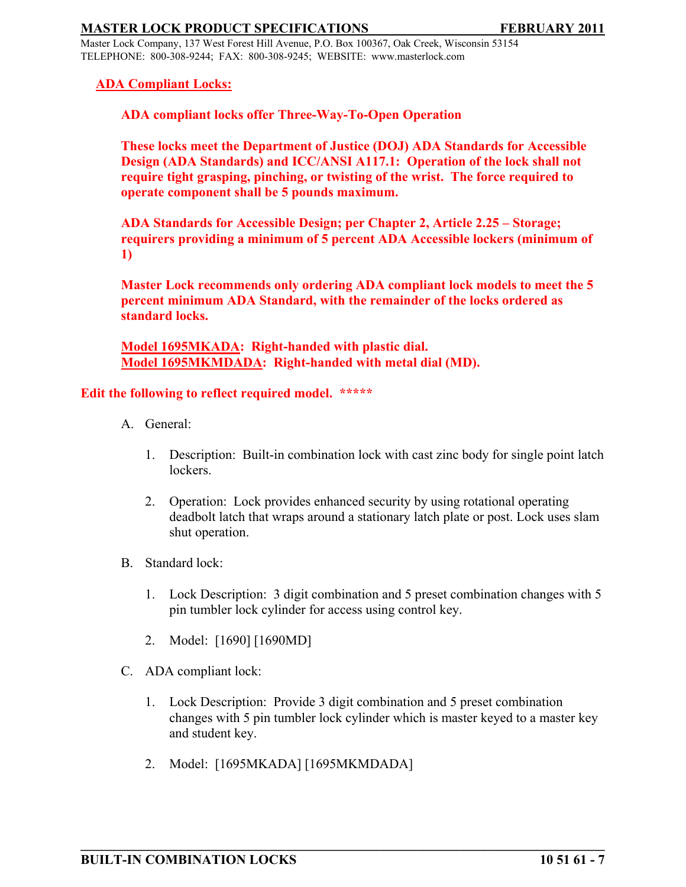Master Lock Company, 137 West Forest Hill Avenue, P.O. Box 100367, Oak Creek, Wisconsin 53154 TELEPHONE: 800-308-9244; FAX: 800-308-9245; WEBSITE: www.masterlock.com

### **ADA Compliant Locks:**

**ADA compliant locks offer Three-Way-To-Open Operation**

**These locks meet the Department of Justice (DOJ) ADA Standards for Accessible Design (ADA Standards) and ICC/ANSI A117.1: Operation of the lock shall not require tight grasping, pinching, or twisting of the wrist. The force required to operate component shall be 5 pounds maximum.** 

**ADA Standards for Accessible Design; per Chapter 2, Article 2.25 – Storage; requirers providing a minimum of 5 percent ADA Accessible lockers (minimum of 1)**

**Master Lock recommends only ordering ADA compliant lock models to meet the 5 percent minimum ADA Standard, with the remainder of the locks ordered as standard locks.** 

**Model 1695MKADA: Right-handed with plastic dial. Model 1695MKMDADA: Right-handed with metal dial (MD).**

# **Edit the following to reflect required model. \*\*\*\*\***

- A. General:
	- 1. Description: Built-in combination lock with cast zinc body for single point latch lockers.
	- 2. Operation: Lock provides enhanced security by using rotational operating deadbolt latch that wraps around a stationary latch plate or post. Lock uses slam shut operation.
- B. Standard lock:
	- 1. Lock Description: 3 digit combination and 5 preset combination changes with 5 pin tumbler lock cylinder for access using control key.
	- 2. Model: [1690] [1690MD]
- C. ADA compliant lock:
	- 1. Lock Description: Provide 3 digit combination and 5 preset combination changes with 5 pin tumbler lock cylinder which is master keyed to a master key and student key.

**\_\_\_\_\_\_\_\_\_\_\_\_\_\_\_\_\_\_\_\_\_\_\_\_\_\_\_\_\_\_\_\_\_\_\_\_\_\_\_\_\_\_\_\_\_\_\_\_\_\_\_\_\_\_\_\_\_\_\_\_\_\_\_\_\_\_\_\_\_\_\_\_\_\_\_\_\_\_**

2. Model: [1695MKADA] [1695MKMDADA]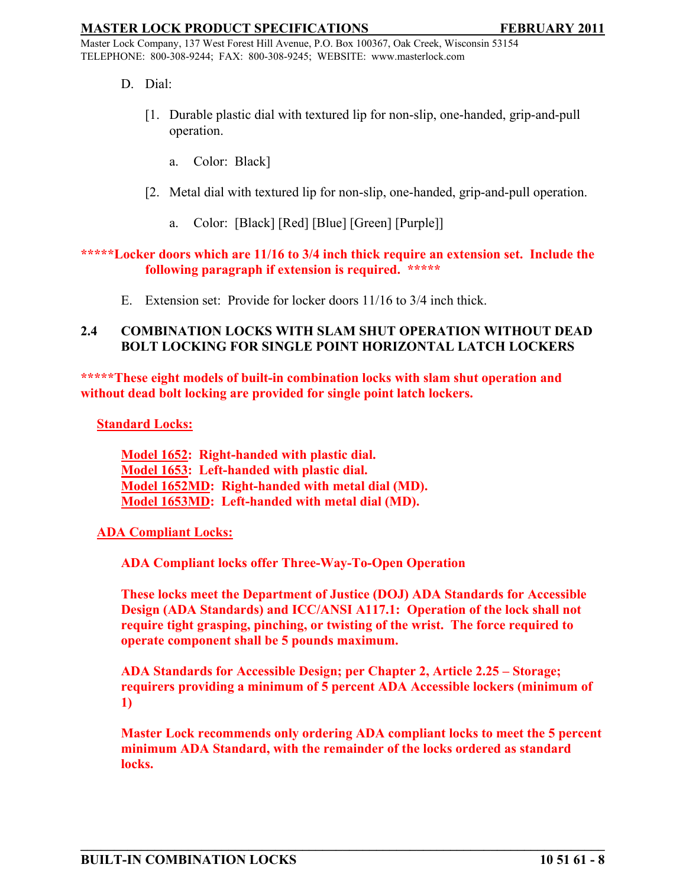Master Lock Company, 137 West Forest Hill Avenue, P.O. Box 100367, Oak Creek, Wisconsin 53154 TELEPHONE: 800-308-9244; FAX: 800-308-9245; WEBSITE: www.masterlock.com

- D. Dial:
	- [1. Durable plastic dial with textured lip for non-slip, one-handed, grip-and-pull operation.
		- a. Color: Black]
	- [2. Metal dial with textured lip for non-slip, one-handed, grip-and-pull operation.
		- a. Color: [Black] [Red] [Blue] [Green] [Purple]]

### **\*\*\*\*\*Locker doors which are 11/16 to 3/4 inch thick require an extension set. Include the following paragraph if extension is required. \*\*\*\*\***

E. Extension set: Provide for locker doors 11/16 to 3/4 inch thick.

### **2.4 COMBINATION LOCKS WITH SLAM SHUT OPERATION WITHOUT DEAD BOLT LOCKING FOR SINGLE POINT HORIZONTAL LATCH LOCKERS**

**\*\*\*\*\*These eight models of built-in combination locks with slam shut operation and without dead bolt locking are provided for single point latch lockers.**

**Standard Locks:**

**Model 1652: Right-handed with plastic dial. Model 1653: Left-handed with plastic dial. Model 1652MD: Right-handed with metal dial (MD). Model 1653MD: Left-handed with metal dial (MD).**

### **ADA Compliant Locks:**

**ADA Compliant locks offer Three-Way-To-Open Operation**

**These locks meet the Department of Justice (DOJ) ADA Standards for Accessible Design (ADA Standards) and ICC/ANSI A117.1: Operation of the lock shall not require tight grasping, pinching, or twisting of the wrist. The force required to operate component shall be 5 pounds maximum.** 

**ADA Standards for Accessible Design; per Chapter 2, Article 2.25 – Storage; requirers providing a minimum of 5 percent ADA Accessible lockers (minimum of 1)**

**Master Lock recommends only ordering ADA compliant locks to meet the 5 percent minimum ADA Standard, with the remainder of the locks ordered as standard locks.**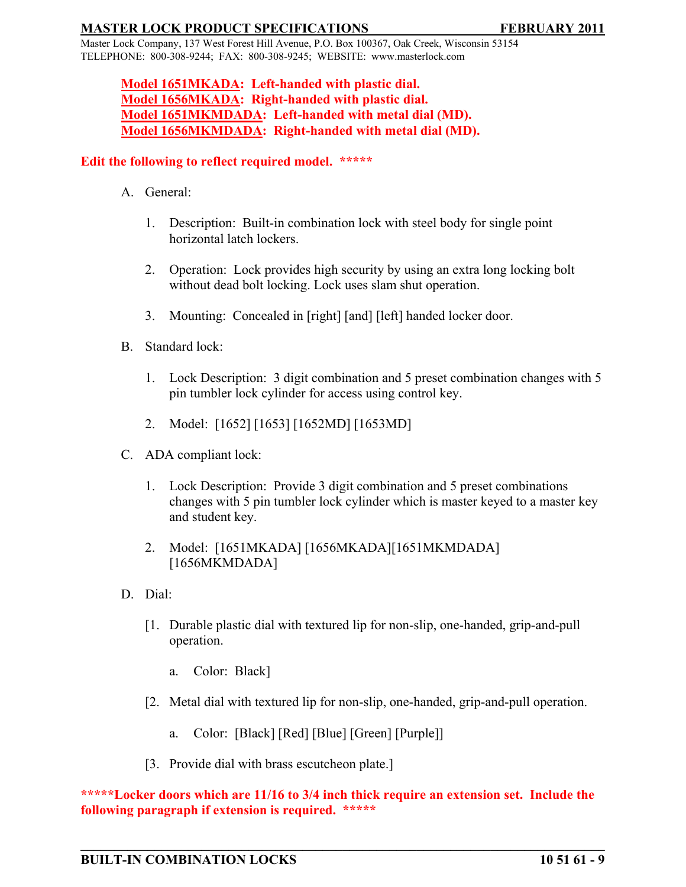Master Lock Company, 137 West Forest Hill Avenue, P.O. Box 100367, Oak Creek, Wisconsin 53154 TELEPHONE: 800-308-9244; FAX: 800-308-9245; WEBSITE: www.masterlock.com

# **Model 1651MKADA: Left-handed with plastic dial. Model 1656MKADA: Right-handed with plastic dial. Model 1651MKMDADA: Left-handed with metal dial (MD). Model 1656MKMDADA: Right-handed with metal dial (MD).**

## **Edit the following to reflect required model. \*\*\*\*\***

- A. General:
	- 1. Description: Built-in combination lock with steel body for single point horizontal latch lockers.
	- 2. Operation: Lock provides high security by using an extra long locking bolt without dead bolt locking. Lock uses slam shut operation.
	- 3. Mounting: Concealed in [right] [and] [left] handed locker door.
- B. Standard lock:
	- 1. Lock Description: 3 digit combination and 5 preset combination changes with 5 pin tumbler lock cylinder for access using control key.
	- 2. Model: [1652] [1653] [1652MD] [1653MD]
- C. ADA compliant lock:
	- 1. Lock Description: Provide 3 digit combination and 5 preset combinations changes with 5 pin tumbler lock cylinder which is master keyed to a master key and student key.
	- 2. Model: [1651MKADA] [1656MKADA][1651MKMDADA] [1656MKMDADA]
- D. Dial:
	- [1. Durable plastic dial with textured lip for non-slip, one-handed, grip-and-pull operation.
		- a. Color: Black]
	- [2. Metal dial with textured lip for non-slip, one-handed, grip-and-pull operation.
		- a. Color: [Black] [Red] [Blue] [Green] [Purple]]
	- [3. Provide dial with brass escutcheon plate.]

**\*\*\*\*\*Locker doors which are 11/16 to 3/4 inch thick require an extension set. Include the following paragraph if extension is required. \*\*\*\*\***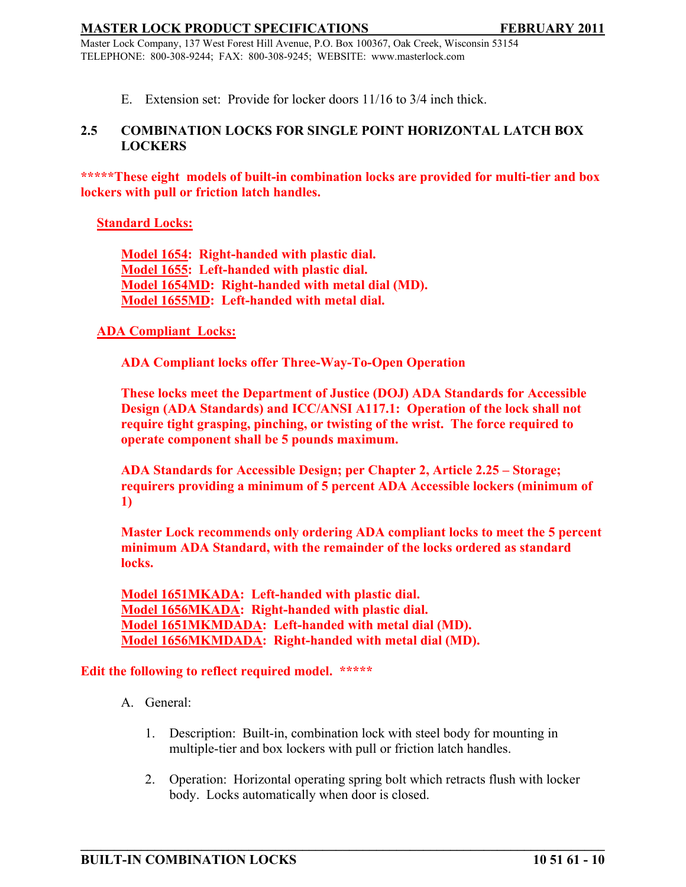Master Lock Company, 137 West Forest Hill Avenue, P.O. Box 100367, Oak Creek, Wisconsin 53154 TELEPHONE: 800-308-9244; FAX: 800-308-9245; WEBSITE: www.masterlock.com

E. Extension set: Provide for locker doors 11/16 to 3/4 inch thick.

# **2.5 COMBINATION LOCKS FOR SINGLE POINT HORIZONTAL LATCH BOX LOCKERS**

**\*\*\*\*\*These eight models of built-in combination locks are provided for multi-tier and box lockers with pull or friction latch handles.**

## **Standard Locks:**

**Model 1654: Right-handed with plastic dial. Model 1655: Left-handed with plastic dial. Model 1654MD: Right-handed with metal dial (MD). Model 1655MD: Left-handed with metal dial.**

### **ADA Compliant Locks:**

**ADA Compliant locks offer Three-Way-To-Open Operation**

**These locks meet the Department of Justice (DOJ) ADA Standards for Accessible Design (ADA Standards) and ICC/ANSI A117.1: Operation of the lock shall not require tight grasping, pinching, or twisting of the wrist. The force required to operate component shall be 5 pounds maximum.** 

**ADA Standards for Accessible Design; per Chapter 2, Article 2.25 – Storage; requirers providing a minimum of 5 percent ADA Accessible lockers (minimum of 1)**

**Master Lock recommends only ordering ADA compliant locks to meet the 5 percent minimum ADA Standard, with the remainder of the locks ordered as standard locks.** 

**Model 1651MKADA: Left-handed with plastic dial. Model 1656MKADA: Right-handed with plastic dial. Model 1651MKMDADA: Left-handed with metal dial (MD). Model 1656MKMDADA: Right-handed with metal dial (MD).**

### **Edit the following to reflect required model. \*\*\*\*\***

- A. General:
	- 1. Description: Built-in, combination lock with steel body for mounting in multiple-tier and box lockers with pull or friction latch handles.

**\_\_\_\_\_\_\_\_\_\_\_\_\_\_\_\_\_\_\_\_\_\_\_\_\_\_\_\_\_\_\_\_\_\_\_\_\_\_\_\_\_\_\_\_\_\_\_\_\_\_\_\_\_\_\_\_\_\_\_\_\_\_\_\_\_\_\_\_\_\_\_\_\_\_\_\_\_\_**

2. Operation: Horizontal operating spring bolt which retracts flush with locker body. Locks automatically when door is closed.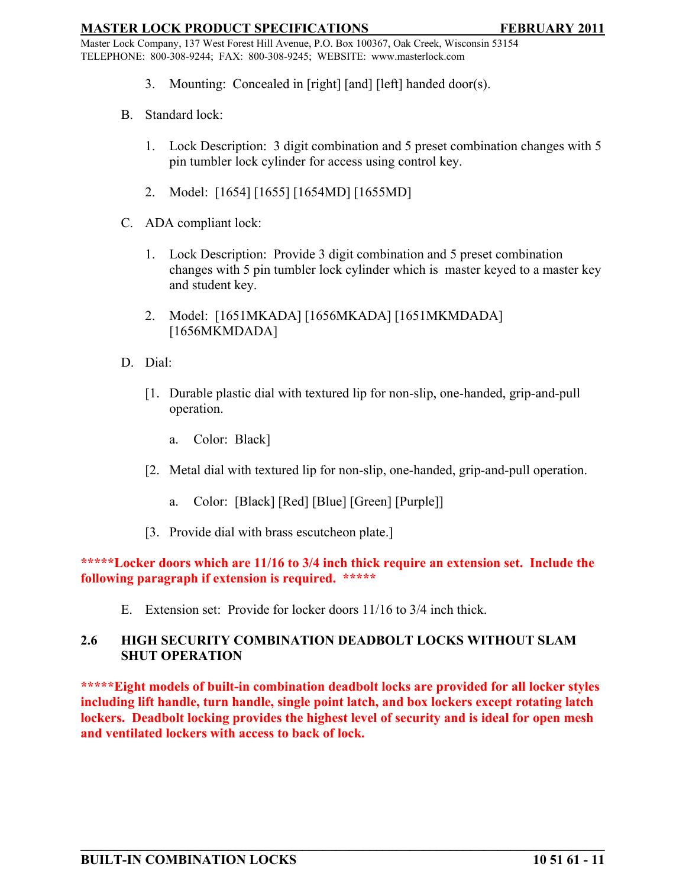Master Lock Company, 137 West Forest Hill Avenue, P.O. Box 100367, Oak Creek, Wisconsin 53154 TELEPHONE: 800-308-9244; FAX: 800-308-9245; WEBSITE: www.masterlock.com

- 3. Mounting: Concealed in [right] [and] [left] handed door(s).
- B. Standard lock:
	- 1. Lock Description: 3 digit combination and 5 preset combination changes with 5 pin tumbler lock cylinder for access using control key.
	- 2. Model: [1654] [1655] [1654MD] [1655MD]
- C. ADA compliant lock:
	- 1. Lock Description: Provide 3 digit combination and 5 preset combination changes with 5 pin tumbler lock cylinder which is master keyed to a master key and student key.
	- 2. Model: [1651MKADA] [1656MKADA] [1651MKMDADA] [1656MKMDADA]
- D. Dial:
	- [1. Durable plastic dial with textured lip for non-slip, one-handed, grip-and-pull operation.
		- a. Color: Black]
	- [2. Metal dial with textured lip for non-slip, one-handed, grip-and-pull operation.
		- a. Color: [Black] [Red] [Blue] [Green] [Purple]]
	- [3. Provide dial with brass escutcheon plate.]

# **\*\*\*\*\*Locker doors which are 11/16 to 3/4 inch thick require an extension set. Include the following paragraph if extension is required. \*\*\*\*\***

E. Extension set: Provide for locker doors 11/16 to 3/4 inch thick.

# **2.6 HIGH SECURITY COMBINATION DEADBOLT LOCKS WITHOUT SLAM SHUT OPERATION**

**\*\*\*\*\*Eight models of built-in combination deadbolt locks are provided for all locker styles including lift handle, turn handle, single point latch, and box lockers except rotating latch lockers. Deadbolt locking provides the highest level of security and is ideal for open mesh and ventilated lockers with access to back of lock.**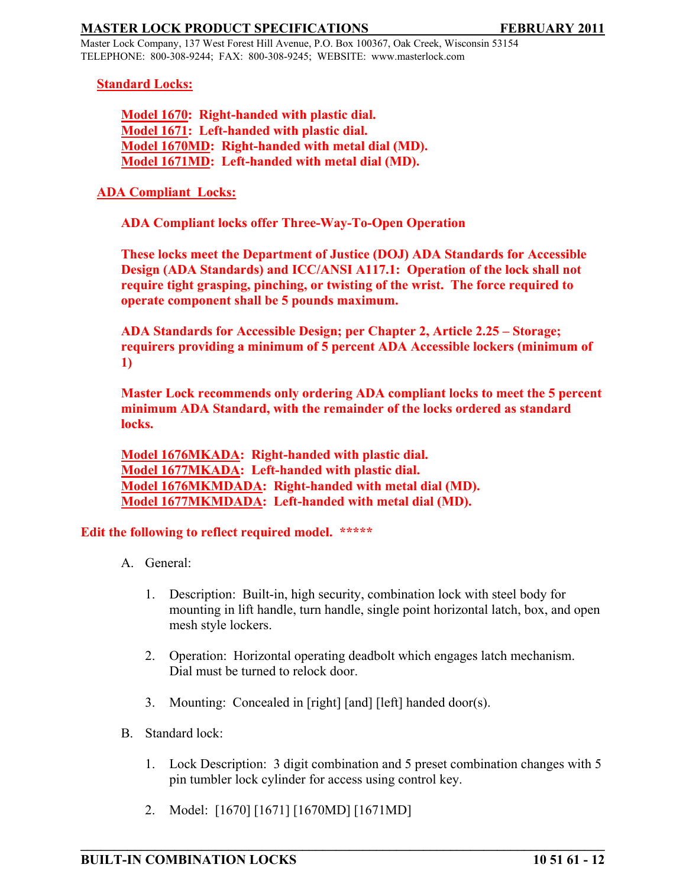Master Lock Company, 137 West Forest Hill Avenue, P.O. Box 100367, Oak Creek, Wisconsin 53154 TELEPHONE: 800-308-9244; FAX: 800-308-9245; WEBSITE: www.masterlock.com

### **Standard Locks:**

**Model 1670: Right-handed with plastic dial. Model 1671: Left-handed with plastic dial. Model 1670MD: Right-handed with metal dial (MD). Model 1671MD: Left-handed with metal dial (MD).**

## **ADA Compliant Locks:**

**ADA Compliant locks offer Three-Way-To-Open Operation**

**These locks meet the Department of Justice (DOJ) ADA Standards for Accessible Design (ADA Standards) and ICC/ANSI A117.1: Operation of the lock shall not require tight grasping, pinching, or twisting of the wrist. The force required to operate component shall be 5 pounds maximum.** 

**ADA Standards for Accessible Design; per Chapter 2, Article 2.25 – Storage; requirers providing a minimum of 5 percent ADA Accessible lockers (minimum of 1)**

**Master Lock recommends only ordering ADA compliant locks to meet the 5 percent minimum ADA Standard, with the remainder of the locks ordered as standard locks.** 

**Model 1676MKADA: Right-handed with plastic dial. Model 1677MKADA: Left-handed with plastic dial. Model 1676MKMDADA: Right-handed with metal dial (MD). Model 1677MKMDADA: Left-handed with metal dial (MD).**

### **Edit the following to reflect required model. \*\*\*\*\***

- A. General:
	- 1. Description: Built-in, high security, combination lock with steel body for mounting in lift handle, turn handle, single point horizontal latch, box, and open mesh style lockers.
	- 2. Operation: Horizontal operating deadbolt which engages latch mechanism. Dial must be turned to relock door.
	- 3. Mounting: Concealed in [right] [and] [left] handed door(s).
- B. Standard lock:
	- 1. Lock Description: 3 digit combination and 5 preset combination changes with 5 pin tumbler lock cylinder for access using control key.

**\_\_\_\_\_\_\_\_\_\_\_\_\_\_\_\_\_\_\_\_\_\_\_\_\_\_\_\_\_\_\_\_\_\_\_\_\_\_\_\_\_\_\_\_\_\_\_\_\_\_\_\_\_\_\_\_\_\_\_\_\_\_\_\_\_\_\_\_\_\_\_\_\_\_\_\_\_\_**

2. Model: [1670] [1671] [1670MD] [1671MD]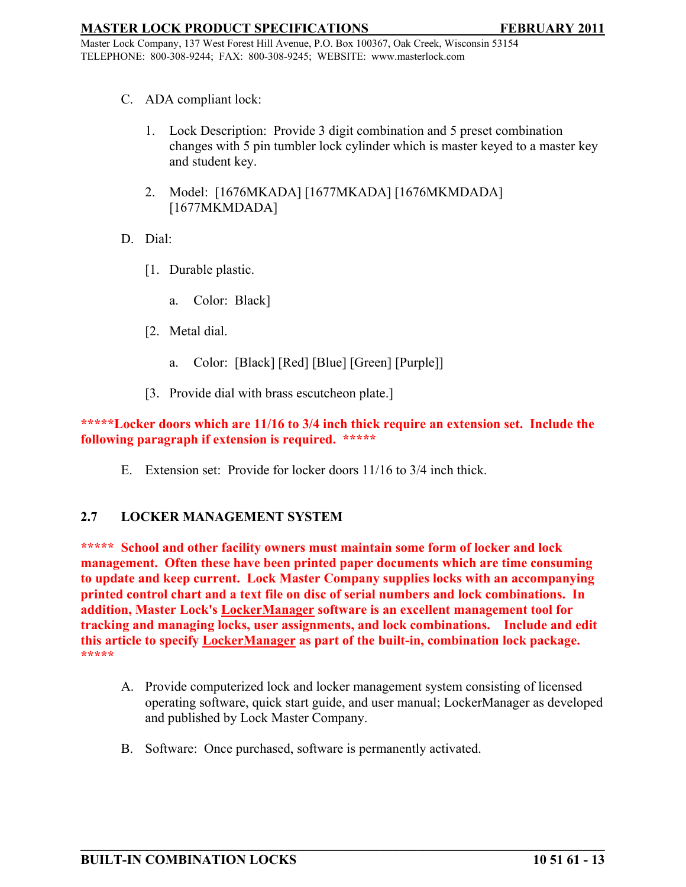Master Lock Company, 137 West Forest Hill Avenue, P.O. Box 100367, Oak Creek, Wisconsin 53154 TELEPHONE: 800-308-9244; FAX: 800-308-9245; WEBSITE: www.masterlock.com

- C. ADA compliant lock:
	- 1. Lock Description: Provide 3 digit combination and 5 preset combination changes with 5 pin tumbler lock cylinder which is master keyed to a master key and student key.
	- 2. Model: [1676MKADA] [1677MKADA] [1676MKMDADA] [1677MKMDADA]
- D. Dial:
	- [1. Durable plastic.
		- a. Color: Black]
	- [2. Metal dial.
		- a. Color: [Black] [Red] [Blue] [Green] [Purple]]
	- [3. Provide dial with brass escutcheon plate.]

**\*\*\*\*\*Locker doors which are 11/16 to 3/4 inch thick require an extension set. Include the following paragraph if extension is required. \*\*\*\*\***

E. Extension set: Provide for locker doors 11/16 to 3/4 inch thick.

### **2.7 LOCKER MANAGEMENT SYSTEM**

**\*\*\*\*\* School and other facility owners must maintain some form of locker and lock management. Often these have been printed paper documents which are time consuming to update and keep current. Lock Master Company supplies locks with an accompanying printed control chart and a text file on disc of serial numbers and lock combinations. In addition, Master Lock's LockerManager software is an excellent management tool for tracking and managing locks, user assignments, and lock combinations. Include and edit this article to specify LockerManager as part of the built-in, combination lock package. \*\*\*\*\*** 

A. Provide computerized lock and locker management system consisting of licensed operating software, quick start guide, and user manual; LockerManager as developed and published by Lock Master Company.

**\_\_\_\_\_\_\_\_\_\_\_\_\_\_\_\_\_\_\_\_\_\_\_\_\_\_\_\_\_\_\_\_\_\_\_\_\_\_\_\_\_\_\_\_\_\_\_\_\_\_\_\_\_\_\_\_\_\_\_\_\_\_\_\_\_\_\_\_\_\_\_\_\_\_\_\_\_\_**

B. Software: Once purchased, software is permanently activated.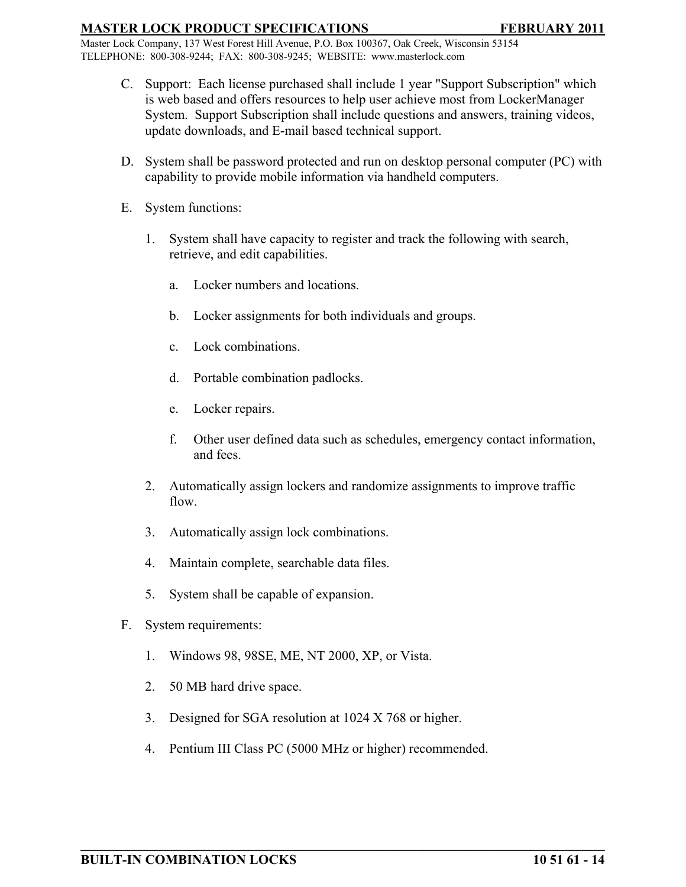Master Lock Company, 137 West Forest Hill Avenue, P.O. Box 100367, Oak Creek, Wisconsin 53154 TELEPHONE: 800-308-9244; FAX: 800-308-9245; WEBSITE: www.masterlock.com

- C. Support: Each license purchased shall include 1 year "Support Subscription" which is web based and offers resources to help user achieve most from LockerManager System. Support Subscription shall include questions and answers, training videos, update downloads, and E-mail based technical support.
- D. System shall be password protected and run on desktop personal computer (PC) with capability to provide mobile information via handheld computers.
- E. System functions:
	- 1. System shall have capacity to register and track the following with search, retrieve, and edit capabilities.
		- a. Locker numbers and locations.
		- b. Locker assignments for both individuals and groups.
		- c. Lock combinations.
		- d. Portable combination padlocks.
		- e. Locker repairs.
		- f. Other user defined data such as schedules, emergency contact information, and fees.
	- 2. Automatically assign lockers and randomize assignments to improve traffic flow.
	- 3. Automatically assign lock combinations.
	- 4. Maintain complete, searchable data files.
	- 5. System shall be capable of expansion.
- F. System requirements:
	- 1. Windows 98, 98SE, ME, NT 2000, XP, or Vista.
	- 2. 50 MB hard drive space.
	- 3. Designed for SGA resolution at 1024 X 768 or higher.
	- 4. Pentium III Class PC (5000 MHz or higher) recommended.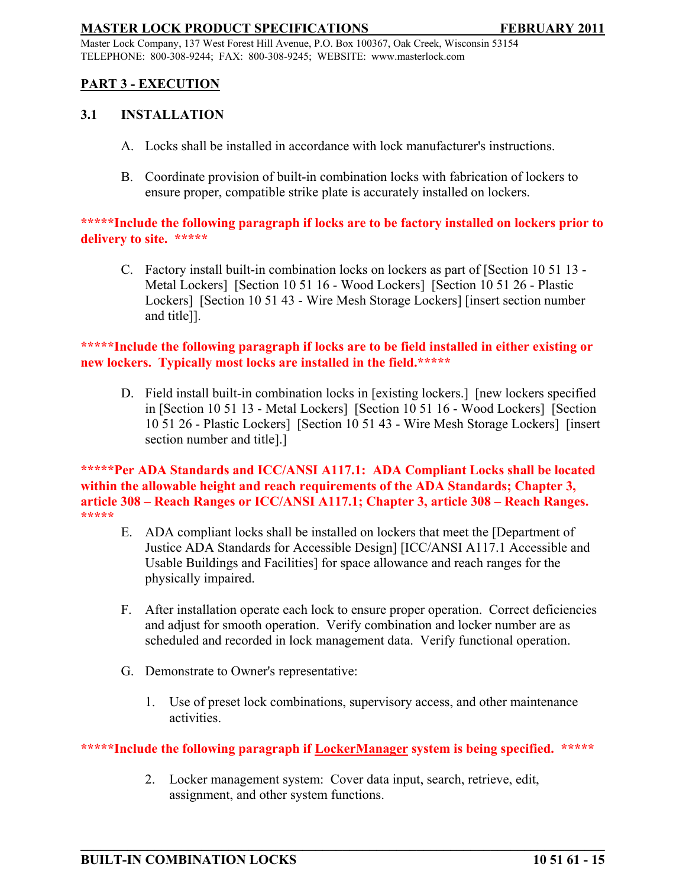Master Lock Company, 137 West Forest Hill Avenue, P.O. Box 100367, Oak Creek, Wisconsin 53154 TELEPHONE: 800-308-9244; FAX: 800-308-9245; WEBSITE: www.masterlock.com

# **PART 3 - EXECUTION**

### **3.1 INSTALLATION**

- A. Locks shall be installed in accordance with lock manufacturer's instructions.
- B. Coordinate provision of built-in combination locks with fabrication of lockers to ensure proper, compatible strike plate is accurately installed on lockers.

## **\*\*\*\*\*Include the following paragraph if locks are to be factory installed on lockers prior to delivery to site. \*\*\*\*\***

C. Factory install built-in combination locks on lockers as part of [Section 10 51 13 - Metal Lockers] [Section 10 51 16 - Wood Lockers] [Section 10 51 26 - Plastic Lockers] [Section 10 51 43 - Wire Mesh Storage Lockers] [insert section number and title]].

# **\*\*\*\*\*Include the following paragraph if locks are to be field installed in either existing or new lockers. Typically most locks are installed in the field.\*\*\*\*\***

D. Field install built-in combination locks in [existing lockers.] [new lockers specified in [Section 10 51 13 - Metal Lockers] [Section 10 51 16 - Wood Lockers] [Section 10 51 26 - Plastic Lockers] [Section 10 51 43 - Wire Mesh Storage Lockers] [insert section number and title].]

**\*\*\*\*\*Per ADA Standards and ICC/ANSI A117.1: ADA Compliant Locks shall be located within the allowable height and reach requirements of the ADA Standards; Chapter 3, article 308 – Reach Ranges or ICC/ANSI A117.1; Chapter 3, article 308 – Reach Ranges. \*\*\*\*\***

- E. ADA compliant locks shall be installed on lockers that meet the [Department of Justice ADA Standards for Accessible Design] [ICC/ANSI A117.1 Accessible and Usable Buildings and Facilities] for space allowance and reach ranges for the physically impaired.
- F. After installation operate each lock to ensure proper operation. Correct deficiencies and adjust for smooth operation. Verify combination and locker number are as scheduled and recorded in lock management data. Verify functional operation.
- G. Demonstrate to Owner's representative:
	- 1. Use of preset lock combinations, supervisory access, and other maintenance activities.

# **\*\*\*\*\*Include the following paragraph if LockerManager system is being specified. \*\*\*\*\***

2. Locker management system: Cover data input, search, retrieve, edit, assignment, and other system functions.